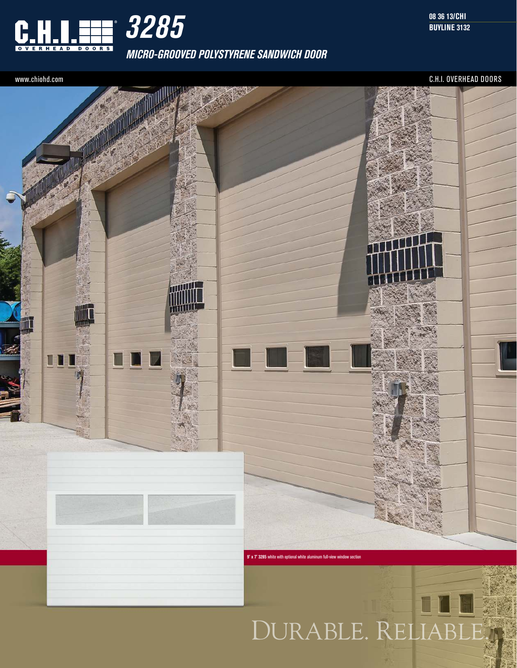

**MICRO-GROOVED POLYSTYRENE SANDWICH DOOR**

**08 36 13/CHI BUYLINE 3132**

www.chiohd.com C.H.I. OVERHEAD DOORS